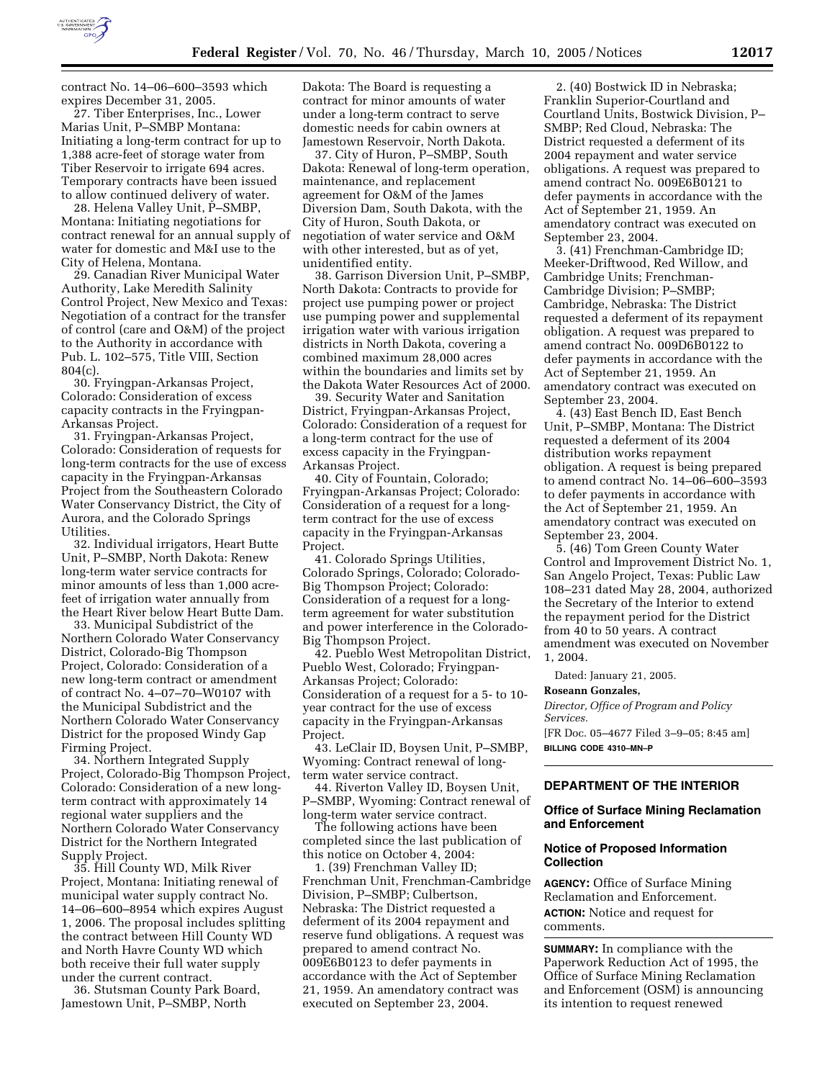

contract No. 14–06–600–3593 which expires December 31, 2005.

27. Tiber Enterprises, Inc., Lower Marias Unit, P–SMBP Montana: Initiating a long-term contract for up to 1,388 acre-feet of storage water from Tiber Reservoir to irrigate 694 acres. Temporary contracts have been issued to allow continued delivery of water.

28. Helena Valley Unit, P–SMBP, Montana: Initiating negotiations for contract renewal for an annual supply of water for domestic and M&I use to the City of Helena, Montana.

29. Canadian River Municipal Water Authority, Lake Meredith Salinity Control Project, New Mexico and Texas: Negotiation of a contract for the transfer of control (care and O&M) of the project to the Authority in accordance with Pub. L. 102–575, Title VIII, Section 804(c).

30. Fryingpan-Arkansas Project, Colorado: Consideration of excess capacity contracts in the Fryingpan-Arkansas Project.

31. Fryingpan-Arkansas Project, Colorado: Consideration of requests for long-term contracts for the use of excess capacity in the Fryingpan-Arkansas Project from the Southeastern Colorado Water Conservancy District, the City of Aurora, and the Colorado Springs Utilities.

32. Individual irrigators, Heart Butte Unit, P–SMBP, North Dakota: Renew long-term water service contracts for minor amounts of less than 1,000 acrefeet of irrigation water annually from the Heart River below Heart Butte Dam.

33. Municipal Subdistrict of the Northern Colorado Water Conservancy District, Colorado-Big Thompson Project, Colorado: Consideration of a new long-term contract or amendment of contract No. 4–07–70–W0107 with the Municipal Subdistrict and the Northern Colorado Water Conservancy District for the proposed Windy Gap Firming Project.

34. Northern Integrated Supply Project, Colorado-Big Thompson Project, Colorado: Consideration of a new longterm contract with approximately 14 regional water suppliers and the Northern Colorado Water Conservancy District for the Northern Integrated Supply Project.

35. Hill County WD, Milk River Project, Montana: Initiating renewal of municipal water supply contract No. 14–06–600–8954 which expires August 1, 2006. The proposal includes splitting the contract between Hill County WD and North Havre County WD which both receive their full water supply under the current contract.

36. Stutsman County Park Board, Jamestown Unit, P–SMBP, North

Dakota: The Board is requesting a contract for minor amounts of water under a long-term contract to serve domestic needs for cabin owners at Jamestown Reservoir, North Dakota.

37. City of Huron, P–SMBP, South Dakota: Renewal of long-term operation, maintenance, and replacement agreement for O&M of the James Diversion Dam, South Dakota, with the City of Huron, South Dakota, or negotiation of water service and O&M with other interested, but as of yet, unidentified entity.

38. Garrison Diversion Unit, P–SMBP, North Dakota: Contracts to provide for project use pumping power or project use pumping power and supplemental irrigation water with various irrigation districts in North Dakota, covering a combined maximum 28,000 acres within the boundaries and limits set by the Dakota Water Resources Act of 2000.

39. Security Water and Sanitation District, Fryingpan-Arkansas Project, Colorado: Consideration of a request for a long-term contract for the use of excess capacity in the Fryingpan-Arkansas Project.

40. City of Fountain, Colorado; Fryingpan-Arkansas Project; Colorado: Consideration of a request for a longterm contract for the use of excess capacity in the Fryingpan-Arkansas Project.

41. Colorado Springs Utilities, Colorado Springs, Colorado; Colorado-Big Thompson Project; Colorado: Consideration of a request for a longterm agreement for water substitution and power interference in the Colorado-Big Thompson Project.

42. Pueblo West Metropolitan District, Pueblo West, Colorado; Fryingpan-Arkansas Project; Colorado: Consideration of a request for a 5- to 10 year contract for the use of excess capacity in the Fryingpan-Arkansas Project.

43. LeClair ID, Boysen Unit, P–SMBP, Wyoming: Contract renewal of longterm water service contract.

44. Riverton Valley ID, Boysen Unit, P–SMBP, Wyoming: Contract renewal of long-term water service contract.

The following actions have been completed since the last publication of this notice on October 4, 2004:

1. (39) Frenchman Valley ID; Frenchman Unit, Frenchman-Cambridge Division, P–SMBP; Culbertson, Nebraska: The District requested a deferment of its 2004 repayment and reserve fund obligations. A request was prepared to amend contract No. 009E6B0123 to defer payments in accordance with the Act of September 21, 1959. An amendatory contract was executed on September 23, 2004.

2. (40) Bostwick ID in Nebraska; Franklin Superior-Courtland and Courtland Units, Bostwick Division, P– SMBP; Red Cloud, Nebraska: The District requested a deferment of its 2004 repayment and water service obligations. A request was prepared to amend contract No. 009E6B0121 to defer payments in accordance with the Act of September 21, 1959. An amendatory contract was executed on September 23, 2004.

3. (41) Frenchman-Cambridge ID; Meeker-Driftwood, Red Willow, and Cambridge Units; Frenchman-Cambridge Division; P–SMBP; Cambridge, Nebraska: The District requested a deferment of its repayment obligation. A request was prepared to amend contract No. 009D6B0122 to defer payments in accordance with the Act of September 21, 1959. An amendatory contract was executed on September 23, 2004.

4. (43) East Bench ID, East Bench Unit, P–SMBP, Montana: The District requested a deferment of its 2004 distribution works repayment obligation. A request is being prepared to amend contract No. 14–06–600–3593 to defer payments in accordance with the Act of September 21, 1959. An amendatory contract was executed on September 23, 2004.

5. (46) Tom Green County Water Control and Improvement District No. 1, San Angelo Project, Texas: Public Law 108–231 dated May 28, 2004, authorized the Secretary of the Interior to extend the repayment period for the District from 40 to 50 years. A contract amendment was executed on November 1, 2004.

Dated: January 21, 2005.

#### **Roseann Gonzales,**

*Director, Office of Program and Policy Services.* [FR Doc. 05–4677 Filed 3–9–05; 8:45 am]

**BILLING CODE 4310–MN–P**

## **DEPARTMENT OF THE INTERIOR**

### **Office of Surface Mining Reclamation and Enforcement**

### **Notice of Proposed Information Collection**

**AGENCY:** Office of Surface Mining Reclamation and Enforcement. **ACTION:** Notice and request for comments.

**SUMMARY:** In compliance with the Paperwork Reduction Act of 1995, the Office of Surface Mining Reclamation and Enforcement (OSM) is announcing its intention to request renewed